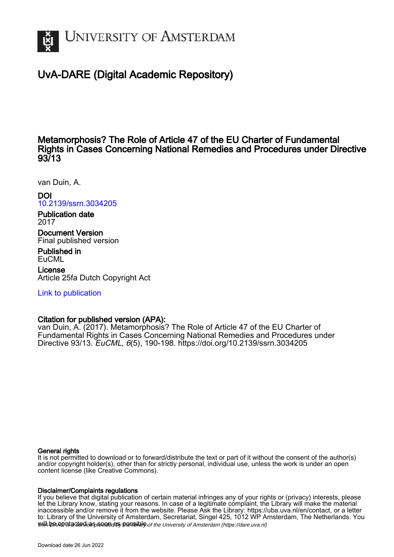

# UvA-DARE (Digital Academic Repository)

## Metamorphosis? The Role of Article 47 of the EU Charter of Fundamental Rights in Cases Concerning National Remedies and Procedures under Directive 93/13

van Duin, A.

DOI [10.2139/ssrn.3034205](https://doi.org/10.2139/ssrn.3034205)

Publication date 2017

Document Version Final published version

Published in **EuCML** 

License Article 25fa Dutch Copyright Act

[Link to publication](https://dare.uva.nl/personal/pure/en/publications/metamorphosis-the-role-of-article-47-of-the-eu-charter-of-fundamental-rights-in-cases-concerning-national-remedies-and-procedures-under-directive-9313(f17fbf00-8abe-42b2-81b0-637dd5826fa5).html)

## Citation for published version (APA):

van Duin, A. (2017). Metamorphosis? The Role of Article 47 of the EU Charter of Fundamental Rights in Cases Concerning National Remedies and Procedures under Directive 93/13. EuCML, 6(5), 190-198. <https://doi.org/10.2139/ssrn.3034205>

## General rights

It is not permitted to download or to forward/distribute the text or part of it without the consent of the author(s) and/or copyright holder(s), other than for strictly personal, individual use, unless the work is under an open content license (like Creative Commons).

## Disclaimer/Complaints regulations

will be contacted as sontacty pessible of the University of Amsterdam (https://dare.uva.nl) If you believe that digital publication of certain material infringes any of your rights or (privacy) interests, please let the Library know, stating your reasons. In case of a legitimate complaint, the Library will make the material inaccessible and/or remove it from the website. Please Ask the Library: https://uba.uva.nl/en/contact, or a letter to: Library of the University of Amsterdam, Secretariat, Singel 425, 1012 WP Amsterdam, The Netherlands. You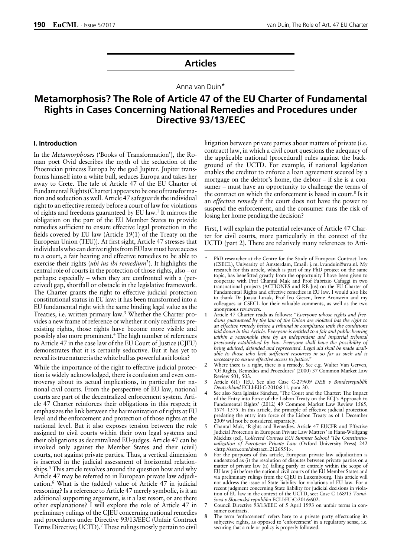## **Articles**

## Anna van Duin\*

# **Metamorphosis? The Role of Article 47 of the EU Charter of Fundamental Rights in Cases Concerning National Remedies and Procedures under Directive 93/13/EEC**

## **I. Introduction**

In the *Metamorphoses* ('Books of Transformation'), the Roman poet Ovid describes the myth of the seduction of the Phoenician princess Europa by the god Jupiter. Jupiter transforms himself into a white bull, seduces Europa and takes her away to Crete. The tale of Article 47 of the EU Charter of Fundamental Rights (Charter) appears to be one of transformation and seduction as well. Article 47 safeguards the individual right to an effective remedy before a court of law for violations of rights and freedoms guaranteed by EU law.1 It mirrors the obligation on the part of the EU Member States to provide remedies sufficient to ensure effective legal protection in the fields covered by EU law (Article 19(1) of the Treaty on the European Union (TEU)). At first sight, Article 47 stresses that individuals who can derive rights from EU law must have access to a court, a fair hearing and effective remedies to be able to exercise their rights (*ubi ius ibi remedium*2). It highlights the central role of courts in the protection of those rights, also – or perhaps: especially – when they are confronted with a (perceived) gap, shortfall or obstacle in the legislative framework. The Charter grants the right to effective judicial protection constitutional status in EU law: it has been transformed into a EU fundamental right with the same binding legal value as the Treaties, i.e. written primary law.3 Whether the Charter provides a new frame of reference or whether it only reaffirms preexisting rights, those rights have become more visible and possibly also more prominent.4 The high number of references to Article 47 in the case law of the EU Court of Justice (CJEU) demonstrates that it is certainly seductive. But it has yet to reveal its true nature: is the white bull as powerful as it looks?

While the importance of the right to effective judicial protection is widely acknowledged, there is confusion and even controversy about its actual implications, in particular for national civil courts. From the perspective of EU law, national courts are part of the decentralized enforcement system. Article 47 Charter reinforces their obligations in this respect; it emphasizes the link between the harmonization of rights at EU level and the enforcement and protection of those rights at the national level. But it also exposes tension between the role assigned to civil courts within their own legal systems and their obligations as decentralized EU-judges. Article 47 can be invoked only against the Member States and their (civil) courts, not against private parties. Thus, a vertical dimension is inserted in the judicial assessment of horizontal relationships.<sup>5</sup> This article revolves around the question how and why Article 47 may be referred to in European private law adjudication.6 What is the (added) value of Article 47 in judicial reasoning? Is a reference to Article 47 merely symbolic, is it an additional supporting argument, is it a last resort, or are there other explanations? I will explore the role of Article 47 in preliminary rulings of the CJEU concerning national remedies and procedures under Directive 93/13/EEC (Unfair Contract Terms Directive; UCTD).7 These rulings mostly pertain to civil

litigation between private parties about matters of private (i.e. contract) law, in which a civil court questions the adequacy of the applicable national (procedural) rules against the background of the UCTD. For example, if national legislation enables the creditor to enforce a loan agreement secured by a mortgage on the debtor's home, the debtor – if she is a consumer – must have an opportunity to challenge the terms of the contract on which the enforcement is based in court.<sup>8</sup> Is it an *effective remedy* if the court does not have the power to suspend the enforcement, and the consumer runs the risk of losing her home pending the decision?

First, I will explain the potential relevance of Article 47 Charter for civil courts, more particularly in the context of the UCTD (part 2). There are relatively many references to Arti-

- See also Sara Iglesias Sánchez, 'The Court and the Charter: The Impact of the Entry into Force of the Lisbon Treaty on the ECJ's Approach to Fundamental Rights' (2012) 49 Common Market Law Review 1565, 1574–1575. In this article, the principle of effective judicial protection predating the entry into force of the Lisbon Treaty as of 1 December 2009 will not be considered separately.
- **5** Chantal Mak, 'Rights and Remedies. Article 47 EUCFR and Effective Judicial Protection in European Private Law Matters' in Hans-Wolfgang Micklitz (ed), *Collected Courses EUI Summer School 'The Constitutionalization of European Private Law* (Oxford University Press) 242 <http://ssrn.com/abstract=2126551>.
- For the purposes of this article, European private law adjudication is understood as (i) the resolution of disputes between private parties on a matter of private law (ii) falling partly or entirely within the scope of EU law (iii) before the national civil courts of the EU Member States and via preliminary rulings from the CJEU in Luxembourg. This article will not address the issue of State liability for violations of EU law. For a recent judgment concerning State liability for judicial decisions in violation of EU law in the context of the UCTD, see: Case C-168/15 *Tomášová v Slovenská republika* ECLI:EU:C:2016:602.
- **7** Council Directive 93/13/EEC of 5 April 1993 on unfair terms in consumer contracts.
- **8** The term 'enforcement' refers here to a private party effectuating its subjective rights, as opposed to 'enforcement' in a regulatory sense, i.e. securing that a rule or policy is properly followed.

**<sup>\*</sup>** PhD researcher at the Centre for the Study of European Contract Law (CSECL), University of Amsterdam, Email: j. m. l.vanduin@uva.nl. My research for this article, which is part of my PhD project on the same topic, has benefitted greatly from the opportunity I have been given to cooperate with Prof Chantal Mak and Prof Fabrizio Cafaggi in two transnational projects (ACTIONES and RE-Jus) on the EU Charter of Fundamental Rights and effective remedies in EU law. I would also like to thank Dr Joasia Luzak, Prof Ivo Giesen, Irene Aronstein and my colleagues at CSECL for their valuable comments, as well as the two anonymous reviewers.

**<sup>1</sup>** Article 47 Charter reads as follows: "*Everyone whose rights and freedoms guaranteed by the law of the Union are violated has the right to an effective remedy before a tribunal in compliance with the conditions laid down in this Article. Everyone is entitled to a fair and public hearing within a reasonable time by an independent and impartial tribunal previously established by law. Everyone shall have the possibility of being advised, defended and represented. Legal aid shall be made available to those who lack sufficient resources in so far as such aid is necessary to ensure effective access to justice*."

**<sup>2</sup>** Where there is a right, there is a remedy. See e.g. Walter Van Gerven, 'Of Rights, Remedies and Procedures' (2000) 37 Common Market Law Review 501, 503.

**<sup>3</sup>** Article 6(1) TEU. See also Case C-279/09 *DEB v Bundesrepublik Deutschland* ECLI:EU:C:2010:811, para 30.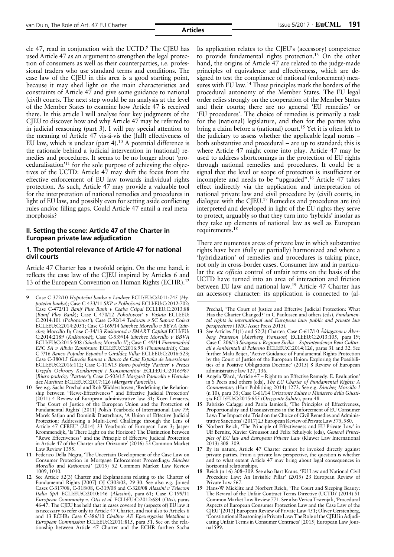cle 47, read in conjunction with the UCTD.<sup>9</sup> The CJEU has used Article 47 as an argument to strengthen the legal protection of consumers as well as their counterparties, i.e. professional traders who use standard terms and conditions. The case law of the CJEU in this area is a good starting point, because it may shed light on the main characteristics and constraints of Article 47 and give some guidance to national (civil) courts. The next step would be an analysis at the level of the Member States to examine how Article 47 is received there. In this article I will analyse four key judgments of the CJEU to discover how and why Article 47 may be referred to in judicial reasoning (part 3). I will pay special attention to the meaning of Article 47 vis-á-vis the (full) effectiveness of EU law, which is unclear (part 4).<sup>10</sup> A potential difference is the rationale behind a judicial intervention in (national) remedies and procedures. It seems to be no longer about 'proceduralisation'11 for the sole purpose of achieving the objectives of the UCTD: Article 47 may shift the focus from the effective enforcement of EU law towards individual rights protection. As such, Article 47 may provide a valuable tool for the interpretation of national remedies and procedures in light of EU law, and possibly even for setting aside conflicting rules and/or filling gaps. Could Article 47 entail a real metamorphosis?

## **II. Setting the scene: Article 47 of the Charter in European private law adjudication**

#### **1. The potential relevance of Article 47 for national civil courts**

Article 47 Charter has a twofold origin. On the one hand, it reflects the case law of the CJEU inspired by Articles 6 and 13 of the European Convention on Human Rights (ECHR).<sup>12</sup>

- an accessory character: its application is connected to (al- **<sup>9</sup>** Case C-372/10 *Hypoteční banka <sup>v</sup> Lindner* ECLI:EU:C:2011:745 (*Hypotečni banka*); Case C-433/11 *SKP v Polhošová* ECLI:EU:C:2012:702; Case C-472/11 *Banif Plus Bank v Csaba Csipai* ECLI:EU:C:2013:88 (*Banif Plus Bank*); Case C-470/12 *Pohotovost' v Vašuta* ECLI:EU: C:2014:101 (*Pohotovost'*); Case C-92/14 *Tudoran v SC Suport Colect* ECLI:EU:C:2014:2051; Case C-169/14 *Sánchez Morcillo v BBVA* (*Sánchez Morcillo I*); Case C-34/13 *Kušionová v SMART Capital* ECLI:EU: C:2014:2189 (*Kušionová*); Case C-539/14 *Sánchez Morcillo v BBVA* ECLI:EU:C:2015:508 (*Sánchez Morcillo II*); Case C-49/14 *Finanmadrid EFC SA v Albán Zambrano* ECLI:EU:C:2016:98 (*Finanmadrid*); Case C-7/16 *Banco Popular Español v Giráldez Villar* ECLI:EU:C:2016:523; Case C-380/15 *Garzón Ramos v Banco de Caja España de Inversiones* ECLI:EU:C:2016:112; Case C-119/15 *Biuro podróży 'Partner' v Prezes Urzędu Ochrony Konkurencji i Konsumentów* ECLI:EU:C:2016:987 (*Biuro podróży 'Partner'*); Case C-503/15 *Margarit Panicello v Hernández Martínez* ECLI:EU:C:2017:126 (*Margarit Panicello*).
- **10** See e.g. Sacha Prechal and Rob Widdershoven, 'Redefining the Relationship between "Rewe-Effectiveness" and Effective Judicial Protection' (2011) 4 Review of European administrative law 31; Koen Lenaerts, 'The Court of Justice of the European Union and the Protection of Fundamental Rights' [2011] Polish Yearbook of International Law 79; Marek Safjan and Dominik Düsterhaus, 'A Union of Effective Judicial Protection: Addressing a Multi-Level Challenge through the Lens of Article 47 CFREU' (2014) 33 Yearbook of European Law 3; Jasper Krommendijk, 'Is There Light on the Horizon? The Distinction between "Rewe Effectiveness" and the Principle of Effective Judicial Protection in Article 47 of the Charter after Orizzonte' (2016) 53 Common Market Law Review 1395.
- **11** Federico Della Negra, 'The Uncertain Development of the Case Law on Consumer Protection in Mortgage Enforcement Proceedings: *Sánchez Morcillo* and *Kušionová'* (2015) 52 Common Market Law Review 1009, 1010.
- **12** See Article 52(3) Charter and Explanations relating to the Charter of Fundamental Rights [2007] OJ C303/02, 29-30. See also e.g. Joined Cases C-317/08, C-318/08, C-319/08 and C-320/08 *Alassini v Telecom Italia SpA* ECLI:EU:C:2010:146 (*Alassini*), para 61; Case C-199/11 *European Community v. Otis et al.* ECLI:EU:C:2012:684 (*Otis*), paras 46-47. The CJEU has held that in cases covered by (aspects of) EU law it is necessary to refer only to Article 47 Charter, and not also to Articles 6 and 13 ECHR: Case C-386/10 *Chalkor AE Epexergasias Metallon v European Commission* ECLI:EU:C:2011:815, para 51. See on the relationship between Article 47 Charter and the ECHR further: Sacha

Its application relates to the CJEU's (accessory) competence to provide fundamental rights protection.13 On the other hand, the origins of Article 47 are related to the judge-made principles of equivalence and effectiveness, which are designed to test the compliance of national (enforcement) measures with EU law.<sup>14</sup> These principles mark the borders of the procedural autonomy of the Member States. The EU legal order relies strongly on the cooperation of the Member States and their courts; there are no general 'EU remedies' or 'EU procedures'. The choice of remedies is primarily a task for the (national) legislature, and then for the parties who bring a claim before a (national) court.<sup>15</sup> Yet it is often left to the judiciary to assess whether the applicable legal norms – both substantive and procedural – are up to standard; this is where Article 47 might come into play. Article 47 may be used to address shortcomings in the protection of EU rights through national remedies and procedures. It could be a signal that the level or scope of protection is insufficient or incomplete and needs to be "upgraded".16 Article 47 takes effect indirectly via the application and interpretation of national private law and civil procedure by (civil) courts, in dialogue with the CJEU.17 Remedies and procedures are (re) interpreted and developed in light of the EU rights they serve to protect, arguably so that they turn into 'hybrids' insofar as they take up elements of national law as well as European requirements.18

There are numerous areas of private law in which substantive rights have been (fully or partially) harmonized and where a 'hybridization' of remedies and procedures is taking place, not only in cross-border cases. Consumer law and in particular the *ex officio* control of unfair terms on the basis of the UCTD have turned into an area of interaction and friction between EU law and national law.<sup>19</sup> Article 47 Charter has<br>an accessory character: its application is connected to (al-

Prechal, 'The Court of Justice and Effective Judicial Protection: What Has the Charter Changed?' in C Paulussen and others (eds), *Fundamental rights in international and European law: public and private law perspectives* (TMC Asser Press 2015).

- **13** See Articles 51(1) and 52(2) Charter; Case C-617/10 *Åklagaren v Åkerberg Fransson* (*Åkerberg Fransson*) ECLI:EU:C:2013:105, para 19; Case C-206/13 *Siragusa v Regione Sicilia – Soprintendenza Beni Culturali e Ambientali di Palermo* ECLI:EU:C:2014:126, paras 31 and 32. See further Malu Beijer, 'Active Guidance of Fundamental Rights Protection by the Court of Justice of the European Union: Exploring the Possibilities of a Positive Obligations Doctrine' (2015) 8 Review of European administrative law 127, 136.
- **14** Angela Ward, 'Article 47 Right to an Effective Remedy. E. Evaluation' in S Peers and others (eds), *The EU Charter of Fundamental Rights: A Commentary* (Hart Publishing 2014) 1273. See e.g. *Sánchez Morcillo I* (n 10), para 35; Case C-61/14 *Orizzonte Salute v Ministero della Giustizia* ECLI:EU:C:2015:655 (*Orizzonte Salute*), para 48.
- **15** Fabrizio Cafaggi and Paola Iamiceli, 'The Principles of Effectiveness, Proportionality and Dissuasiveness in the Enforcement of EU Consumer Law: The Impact of a Triad on the Choice of Civil Remedies and Administrative Sanctions'(2017) 25EuropeanReviewof PrivateLaw575, 580.
- **16** Norbert Reich, 'The Principle of Effectiveness and EU Private Law' in Ulf Bernitz, Xavier Groussot and Felix Schulyok (eds), *General Principles of EU law and European Private Law* (Kluwer Law International 2013) 308–309.
- **17** By its nature, Article 47 Charter cannot be invoked directly against private parties. From a private law perspective, the question is whether and to what extent Article 47 may bring about legal consequences in horizontal relationships.
- **18** Reich (n 16) 308–309. See also Bart Krans, 'EU Law and National Civil Procedure Law: An Invisible Pillar' (2015) 23 European Review of Private Law 567.
- **19** Hans-W Micklitz and Norbert Reich, 'The Court and Sleeping Beauty: The Revival of the Unfair Contract Terms Directive (UCTD)' (2014) 51 Common Market Law Review 771. See also VericaTrstenjak, 'Procedural Aspects of European Consumer Protection Law and the Case Law of the CJEU' [2013] European Review of Private Law 451; Oliver Gerstenberg, 'Constitutional Reasoning in Private Law: The Role of the CJEU in Adjudicating Unfair Terms in Consumer Contracts' [2015] European Law Journal 599.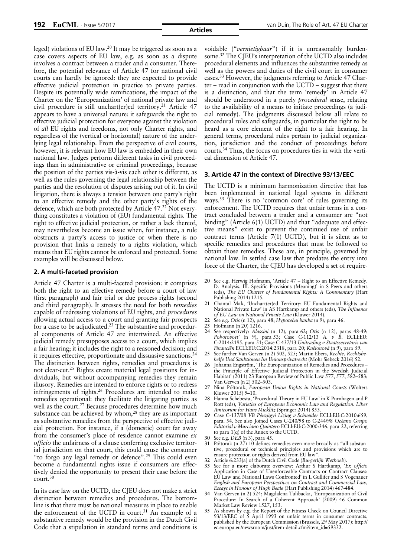leged) violations of EU law.20 It may be triggered as soon as a case covers aspects of EU law, e.g. as soon as a dispute involves a contract between a trader and a consumer. Therefore, the potential relevance of Article 47 for national civil courts can hardly be ignored: they are expected to provide effective judicial protection in practice to private parties. Despite its potentially wide ramifications, the impact of the Charter on the 'Europeanization' of national private law and civil procedure is still unchart(er)ed territory.<sup>21</sup> Article 47 appears to have a universal nature: it safeguards the right to effective judicial protection for everyone against the violation of *all* EU rights and freedoms, not only Charter rights, and regardless of the (vertical or horizontal) nature of the underlying legal relationship. From the perspective of civil courts, however, it is relevant how EU law is embedded in their own national law. Judges perform different tasks in civil proceedings than in administrative or criminal proceedings, because the position of the parties vis-à-vis each other is different, as well as the rules governing the legal relationship between the parties and the resolution of disputes arising out of it. In civil litigation, there is always a tension between one party's right to an effective remedy and the other party's rights of the defence, which are both protected by Article 47.22 Not everything constitutes a violation of (EU) fundamental rights. The right to effective judicial protection, or rather a lack thereof, may nevertheless become an issue when, for instance, a rule obstructs a party's access to justice or when there is no provision that links a remedy to a rights violation, which means that EU rights cannot be enforced and protected. Some examples will be discussed below.

#### **2. A multi-faceted provision**

Article 47 Charter is a multi-faceted provision: it comprises both the right to an effective remedy before a court of law (first paragraph) and fair trial or due process rights (second and third paragraph). It stresses the need for both *remedies* capable of redressing violations of EU rights, and *procedures* allowing actual access to a court and granting fair prospects for a case to be adjudicated. $23$  The substantive and procedural components of Article 47 are intertwined. An effective judicial remedy presupposes access to a court, which implies a fair hearing; it includes the right to a reasoned decision; and it requires effective, proportionate and dissuasive sanctions.24 The distinction between rights, remedies and procedures is not clear-cut.25 Rights create material legal positions for individuals, but without accompanying remedies they remain illusory. Remedies are intended to enforce rights or to redress infringements of rights.26 Procedures are intended to make remedies operational: they facilitate the litigating parties as well as the court.<sup>27</sup> Because procedures determine how much substance can be achieved by whom, $28$  they are as important as substantive remedies from the perspective of effective judicial protection. For instance, if a (domestic) court far away from the consumer's place of residence cannot examine *ex officio* the unfairness of a clause conferring exclusive territorial jurisdiction on that court, this could cause the consumer "to forgo any legal remedy or defence".29 This could even become a fundamental rights issue if consumers are effectively denied the opportunity to present their case before the court.30

In its case law on the UCTD, the CJEU does not make a strict distinction between remedies and procedures. The bottomline is that there must be national measures in place to enable the enforcement of the UCTD in court.<sup>31</sup> An example of a substantive remedy would be the provision in the Dutch Civil Code that a stipulation in standard terms and conditions is

voidable ("*vernietigbaar*") if it is unreasonably burdensome.32 The CJEU's interpretation of the UCTD also includes procedural elements and influences the substantive remedy as well as the powers and duties of the civil court in consumer cases.33 However, the judgments referring to Article 47 Charter – read in conjunction with the UCTD – suggest that there is a distinction, and that the term 'remedy' in Article 47 should be understood in a purely *procedural* sense, relating to the availability of a means to initiate proceedings (a judicial remedy). The judgments discussed below all relate to procedural rules and safeguards, in particular the right to be heard as a core element of the right to a fair hearing. In general terms, procedural rules pertain to judicial organization, jurisdiction and the conduct of proceedings before courts.34 Thus, the focus on procedures ties in with the vertical dimension of Article 47.

#### **3. Article 47 in the context of Directive 93/13/EEC**

The UCTD is a minimum harmonization directive that has been implemented in national legal systems in different ways.35 There is no 'common core' of rules governing its enforcement. The UCTD requires that unfair terms in a contract concluded between a trader and a consumer are "not binding" (Article 6(1) UCTD) and that "adequate and effective means" exist to prevent the continued use of unfair contract terms (Article 7(1) UCTD), but it is silent as to specific remedies and procedures that must be followed to obtain those remedies. These are, in principle, governed by national law. In settled case law that predates the entry into force of the Charter, the CJEU has developed a set of require-

- **20** See e.g. Herwig Hofmann, 'Article 47 Right to an Effective Remedy. D. Analysis. III. Specific Provisions (Meaning)' in S Peers and others (eds), *The EU Charter of Fundamental Rights: A Commentary* (Hart Publishing 2014) 1215.
- **21** Chantal Mak, 'Unchart(er)ed Territory: EU Fundamental Rights and National Private Law' in AS Hartkamp and others (eds), *The Influence of EU Law on National Private Law* (Kluwer 2014).
- **22** See e.g. *Otis* (n 12), para 48; *Hypotečni banka* (n 9), para 46.
- **23** Hofmann (n 20) 1216.
- **24** See respectively: *Alassini* (n 12), para 62; *Otis* (n 12), paras 48-49; *Pohotovost'* (n 9), para 53; Case C-112/13 *A. v B.* ECLI:EU: C:2014:2195, para 51; Case C-437/13 *Unitrading v Staatssecretaris van Financiën* ECLI:EU:C:2014:2318, para 20; *Kušionová* (n 9), para 59.
- **25** See further Van Gerven (n 2) 502, 525; Martin Ebers, *Rechte, Rechtsbehelfe Und Sanktionen Im Unionsprivatrecht* (Mohr Siebeck 2016) 52.
- **26** Johanna Engström, 'The Europeanization of Remedies and Procedures the Principle of Effective Judicial Protection in the Swedish Judicial Habitat' (2011) 23 European Review of Public Law 577, 577, 582–583; Van Gerven (n 2) 502–503.
- **27** Nina Półtorak, *European Union Rights in National Courts* (Wolters Kluwer 2015) 9-10.
- **28** Hanna Schebesta, 'Procedural Theory in EU Law' in K Purnhagen and P Rott (eds), *Varieties of European Economic Law and Regulation. Liber Amicorum for Hans Micklitz* (Springer 2014) 853.
- **29** Case C-137/08 *VB Pénzügyi Lízing v Schneider* ECLI:EU:C:2010:659, para. 54. See also Joined Cases C-240/98 to C-244/98 *Océano Grupo Editorial v Murciano Quintero* ECLI:EU:C:2000:346, para 22, referring to para 1(q) of the Annex to the UCTD.
- **30** See e.g. *DEB* (n 3), para 45.
- **31** Półtorak (n 27) 10 defines remedies even more broadly as "all substantive, procedural or technical principles and provisions which are to ensure protection or rights derived from EU law".
- **32** Article 6:233(a) of the Dutch Civil Code (*Burgerlijk Wetboek*).
- **33** See for a more elaborate overview: Arthur S Hartkamp, '*Ex officio* Application in Case of Unenforceable Contracts or Contract Clauses: EU Law and National Laws Confronted' in L Gullifer and S Vogenauer *English and European Perspectives on Contract and Commercial Law, Essays in Honour of Hugh Beale* (Hart Publishing 2014) 467-484.
- **34** Van Gerven (n 2) 524; Magdalena Tulibacka, 'Europeanization of Civil Procedure: In Search of a Coherent Approach' (2009) 46 Common Market Law Review 1527, 153.
- **35** As shown by e.g. the Report of the Fitness Check on Council Directive 93/13/EEC of 5 April 1993 on unfair terms in consumer contracts, published by the European Commission (Brussels, 29 May 2017): http:// ec.europa.eu/newsroom/just/item-detail.cfm?item\_id=59332.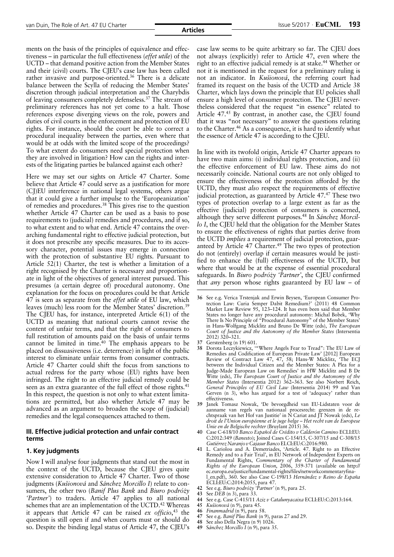ments on the basis of the principles of equivalence and effectiveness – in particular the full effectiveness (*effet utile*) of the UCTD – that demand positive action from the Member States and their (civil) courts. The CJEU's case law has been called rather invasive and purpose-oriented.<sup>36</sup> There is a delicate balance between the Scylla of reducing the Member States' discretion through judicial interpretation and the Charybdis of leaving consumers completely defenseless.37 The stream of preliminary references has not yet come to a halt. Those references expose diverging views on the role, powers and duties of civil courts in the enforcement and protection of EU rights. For instance, should the court be able to correct a procedural inequality between the parties, even where that would be at odds with the limited scope of the proceedings? To what extent do consumers need special protection when they are involved in litigation? How can the rights and interests of the litigating parties be balanced against each other?

Here we may set our sights on Article 47 Charter. Some believe that Article 47 could serve as a justification for more (CJ)EU interference in national legal systems, others argue that it could give a further impulse to the 'Europeanization' of remedies and procedures.38 This gives rise to the question whether Article 47 Charter can be used as a basis to pose requirements to (judicial) remedies and procedures, and if so, to what extent and to what end. Article 47 contains the overarching fundamental right to effective judicial protection, but it does not prescribe any specific measures. Due to its accessory character, potential issues may emerge in connection with the protection of substantive EU rights. Pursuant to Article 52(1) Charter, the test is whether a limitation of a right recognised by the Charter is necessary and proportionate in light of the objectives of general interest pursued. This presumes (a certain degree of) procedural autonomy. One explanation for the focus on procedures could be that Article 47 is seen as separate from the *effet utile* of EU law, which leaves (much) less room for the Member States' discretion.39 The CJEU has, for instance, interpreted Article 6(1) of the UCTD as meaning that national courts cannot revise the content of unfair terms, and that the right of consumers to full restitution of amounts paid on the basis of unfair terms cannot be limited in time. $40$  The emphasis appears to be placed on dissuasiveness (i.e. deterrence) in light of the public interest to eliminate unfair terms from consumer contracts. Article 47 Charter could shift the focus from sanctions to actual redress for the party whose (EU) rights have been infringed. The right to an effective judicial remedy could be seen as an extra guarantee of the full effect of those rights.<sup>41</sup> In this respect, the question is not only to what extent limitations are permitted, but also whether Article 47 may be advanced as an argument to broaden the scope of (judicial) remedies and the legal consequences attached to them.

#### **III. Effective judicial protection and unfair contract terms**

#### **1. Key judgments**

Now I will analyse four judgments that stand out the most in the context of the UCTD, because the CJEU gives quite extensive consideration to Article 47 Charter. Two of those judgments (*Kušionová* and *Sánchez Morcillo I*) relate to consumers, the other two (*Banif Plus Bank* and *Biuro podróży 'Partner'*) to traders. Article 47 applies to all national schemes that are an implementation of the UCTD.<sup>42</sup> Whereas it appears that Article 47 can be raised *ex officio*, <sup>43</sup> the question is still open if and when courts must or should do so. Despite the binding legal status of Article 47, the CJEU's

case law seems to be quite arbitrary so far. The CJEU does not always (explicitly) refer to Article 47, even where the right to an effective judicial remedy is at stake.<sup>44</sup> Whether or not it is mentioned in the request for a preliminary ruling is not an indicator. In *Kušionová*, the referring court had framed its request on the basis of the UCTD and Article 38 Charter, which lays down the principle that EU policies shall ensure a high level of consumer protection. The CJEU nevertheless considered that the request "in essence" related to Article 47.45 By contrast, in another case, the CJEU found that it was "not necessary" to answer the questions relating to the Charter.46 As a consequence, it is hard to identify what the essence of Article 47 is according to the CJEU.

In line with its twofold origin, Article 47 Charter appears to have two main aims: (i) individual rights protection, and (ii) the effective enforcement of EU law. These aims do not necessarily coincide. National courts are not only obliged to ensure the effectiveness of the protection afforded by the UCTD, they must *also* respect the requirements of effective judicial protection, as guaranteed by Article 47.<sup>47</sup> These two types of protection overlap to a large extent as far as the effective (judicial) protection of consumers is concerned, although they serve different purposes.48 In *Sánchez Morcillo I*, the CJEU held that the obligation for the Member States to ensure the effectiveness of rights that parties derive from the UCTD *implies* a requirement of judicial protection, guaranteed by Article 47 Charter.<sup>49</sup> The two types of protection do not (entirely) overlap if certain measures would be justified to enhance the (full) effectiveness of the UCTD, but where that would be at the expense of essential procedural safeguards. In *Biuro podróży 'Partner'*, the CJEU confirmed that *any* person whose rights guaranteed by EU law – of

- **37** Gerstenberg (n 19) 601.
- **38** Dorota Leczykiewicz, '"Where Angels Fear to Tread": The EU Law of Remedies and Codification of European Private Law' [2012] European Review of Contract Law 47, 47, 58; Hans-W Micklitz, 'The ECJ between the Individual Citizen and the Member States: A Plea for a Judge-Made European Law on Remedies' in HW Micklitz and B De Witte (eds), *The European Court of Justice and the Autonomy of the Member States* (Intersentia 2012) 362–363. See also Norbert Reich, *General Principles of EU Civil Law* (Intersentia 2014) 99 and Van Gerven (n 3), who has argued for a test of 'adequacy' rather than effectiveness.
- **39** Janek Tomasz Nowak, 'De bevoegdheid van EU-Lidstaten voor de aanname van regels van nationaal procesrecht: grenzen in de rechtspraak van het Hof van Justitie' in N Cariat and JT Nowak (eds), *Le droit de l'Union européenne et le juge belge – Het recht van de Europese Unie en de Belgische rechter* (Bruylant 2015) 36.
- **40** Case C-618/10 *Banco Español de Crédito v Calderón Camino* ECLI:EU: C:2012:349 (*Banesto*); Joined Cases C-154/15, C-307/15 and C-308/15 *Gutiérrez Naranjo vCajasurBanco*ELCI:EU:C:2016:980.
- **41** L. Cariolou and A. Demetriades, 'Article. 47. Right to an Effective Remedy and to a Fair Trial', in EU Network of Independent Experts on Fundamental Rights, *Commentary of the Charter of Fundamental Rights of the European Union*, 2006, 359-371 (available on http:// ec.europa.eu/justice/fundamental-rights/files/networkcommentaryfinal\_en.pdf), 360. See also Case C-198/13 *Hernández v Reino de España* ECLI:EU:C:2014:2055, para 47.
- **42** See e.g. *Biuro podróży 'Partner'* (n 9), para 25.
- **43** See *DEB* (n 3), para 33.
- **44** See e.g. Case C-415/11 *Aziz v Catalunyacaixa* ECLI:EU:C:2013:164.
- **45** *Kušionová* (n 9), para 45.
- **46** *Finanmadrid* (n 9), para 58.
- **47** See e.g. *Banif Plus Bank* (n 9), paras 27 and 29.
- **48** See also Della Negra (n 9) 1026. **49** S*ánchez Morcillo I* (n 9), para 35.
- 

**<sup>36</sup>** See e.g. Verica Trstenjak and Erwin Beysen, 'European Consumer Protection Law: Curia Semper Dabit Remedium?' (2011) 48 Common Market Law Review 95, 123–124. It has even been said that Member States no longer have any procedural autonomy: Michal Bobek, 'Why There Is No Principle of "Procedural Autonomy" of the Member States' in Hans-Wolfgang Micklitz and Bruno De Witte (eds), *The European Court of Justice and the Autonomy of the Member States* (Intersentia 2012) 320–321.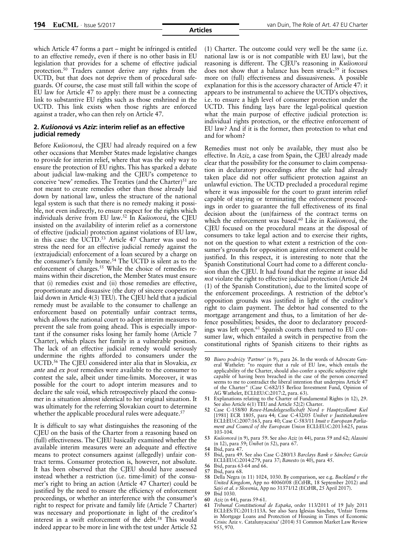which Article 47 forms a part – might be infringed is entitled to an effective remedy, even if there is no other basis in EU legislation that provides for a scheme of effective judicial protection.<sup>50</sup> Traders cannot derive any rights from the UCTD, but that does not deprive them of procedural safeguards. Of course, the case must still fall within the scope of EU law for Article 47 to apply: there must be a connecting link to substantive EU rights such as those enshrined in the UCTD. This link exists when those rights are enforced against a trader, who can then rely on Article 47.

#### **2.** *Kušionová* **vs** *Aziz***: interim relief as an effective judicial remedy**

Before *Kušionová*, the CJEU had already required on a few other occasions that Member States made legislative changes to provide for interim relief, where that was the only way to ensure the protection of EU rights. This has sparked a debate about judicial law-making and the CJEU's competence to conceive 'new' remedies. The Treaties (and the Charter) $51$  are not meant to create remedies other than those already laid down by national law, unless the structure of the national legal system is such that there is no remedy making it possible, not even indirectly, to ensure respect for the rights which individuals derive from EU law.52 In *Kušionová*, the CJEU insisted on the availability of interim relief as a cornerstone of effective (judicial) protection against violations of EU law, in this case: the UCTD.<sup>53</sup> Article 47 Charter was used to stress the need for an effective judicial remedy against the (extrajudicial) enforcement of a loan secured by a charge on the consumer's family home.54 The UCTD is silent as to the enforcement of charges.<sup>55</sup> While the choice of remedies remains within their discretion, the Member States must ensure that (i) remedies exist and (ii) those remedies are effective, proportionate and dissuasive (the duty of sincere cooperation laid down in Article 4(3) TEU). The CJEU held that a judicial remedy must be available to the consumer to challenge an enforcement based on potentially unfair contract terms, which allows the national court to adopt interim measures to prevent the sale from going ahead. This is especially important if the consumer risks losing her family home (Article 7 Charter), which places her family in a vulnerable position. The lack of an effective judicial remedy would seriously undermine the rights afforded to consumers under the UCTD.56 The CJEU considered inter alia that in Slovakia, *ex ante* and *ex post* remedies were available to the consumer to contest the sale, albeit under time-limits. Moreover, it was possible for the court to adopt interim measures and to declare the sale void, which retrospectively placed the consumer in a situation almost identical to her original situation. It was ultimately for the referring Slovakian court to determine whether the applicable procedural rules were adequate.<sup>57</sup>

It is difficult to say what distinguishes the reasoning of the CJEU on the basis of the Charter from a reasoning based on (full) effectiveness. The CJEU basically examined whether the available interim measures were an adequate and effective means to protect consumers against (allegedly) unfair contract terms. Consumer protection is, however, not absolute. It has been observed that the CJEU should have assessed instead whether a restriction (i.e. time-limit) of the consumer's right to bring an action (Article 47 Charter) could be justified by the need to ensure the efficiency of enforcement proceedings, or whether an interference with the consumer's right to respect for private and family life (Article 7 Charter) was necessary and proportionate in light of the creditor's interest in a swift enforcement of the debt.<sup>58</sup> This would indeed appear to be more in line with the test under Article 52

(1) Charter. The outcome could very well be the same (i.e. national law is or is not compatible with EU law), but the reasoning is different. The CJEU's reasoning in *Kušionová* does not show that a balance has been struck:<sup>59</sup> it focuses more on (full) effectiveness and dissuasiveness. A possible explanation for this is the accessory character of Article 47: it appears to be instrumental to achieve the UCTD's objectives, i.e. to ensure a high level of consumer protection under the UCTD. This finding lays bare the legal-political question what the main purpose of effective judicial protection is: individual rights protection, or the effective enforcement of EU law? And if it is the former, then protection to what end and for whom?

Remedies must not only be available, they must also be effective. In *Aziz*, a case from Spain, the CJEU already made clear that the possibility for the consumer to claim compensation in declaratory proceedings after the sale had already taken place did not offer sufficient protection against an unlawful eviction. The UCTD precluded a procedural regime where it was impossible for the court to grant interim relief capable of staying or terminating the enforcement proceedings in order to guarantee the full effectiveness of its final decision about the (un)fairness of the contract terms on which the enforcement was based.60 Like in *Kušionová*, the CJEU focused on the procedural means at the disposal of consumers to take legal action and to exercise their rights, not on the question to what extent a restriction of the consumer's grounds for opposition against enforcement could be justified. In this respect, it is interesting to note that the Spanish Constitutional Court had come to a different conclusion than the CJEU. It had found that the regime at issue did *not* violate the right to effective judicial protection (Article 24 (1) of the Spanish Constitution), due to the limited scope of the enforcement proceedings. A restriction of the debtor's opposition grounds was justified in light of the creditor's right to claim payment. The debtor had consented to the mortgage arrangement and thus, to a limitation of her defence possibilities; besides, the door to declaratory proceedings was left open.61 Spanish courts then turned to EU consumer law, which entailed a switch in perspective from the constitutional rights of Spanish citizens to their rights as

- **55** Ibid, para 49. See also Case C-280/13 *Barclays Bank v Sánchez García* ECLI:EU:C:2014:279, para 37; *Banesto* (n 40), para 45.
- **56** Ibid, paras 63-64 and 66.
- **57** Ibid, para 68. **58** Della Negra (n 11) 1024, 1030. By comparison, see e.g. *Buckland v the*
- *United Kingdom*, App no 40060/08 (ECtHR, 18 September 2012) and *Sajó et al. v Slovenia*, App no 31371/12 (ECtHR, 25 April 2017).
- **59** Ibid 1030.
- **60** *Aziz* (n 44), paras 59-61.
- **61** *Tribunal Constitutional de España*, order 113/2011 of 19 July 2011 ECLI:ES:TC:2011:113A. See also Sara Iglesias Sánchez, 'Unfair Terms in Mortgage Loans and Protection of Housing in Times of Economic Crisis: Aziz v. Catalunyacaixa' (2014) 51 Common Market Law Review 955, 970.

**<sup>50</sup>** *Biuro podróży 'Partner'* (n 9), para 26. In the words of Advocate General Wathelet: "to require that a rule of EU law, which entails the applicability of the Charter, should also confer a specific subjective right capable of having been breached in the case of the person concerned seems to me to contradict the liberal intention that underpins Article 47 of the Charter" (Case C-682/15 Berlioz Investment Fund, Opinion of AG Wathelet, ECLI:EU:C:2017:2, para. 63).

**<sup>51</sup>** Explanations relating to the Charter of Fundamental Rights (n 12), 29. See also Article 6(1) TEU and Article 52(2) Charter.

**<sup>52</sup>** Case C-158/80 *Rewe-Handelsgesellschaft Nord v Hauptzollamt Kiel* [1981] ECR 1805, para 44; Case C-432/05 *Unibet v Justitiekanslern* ECLI:EU:C:2007:163, para 40; Case C-583/11 *Inuit v European Parliament and Council of the European Union* ECLI:EU:C:2013:625, paras 103-104.

**<sup>53</sup>** *Kušionová* (n 9), para 59. See also *Aziz* (n 44), paras 59 and 62; *Alassini* (n 12), para 59; *Unibet* (n 52), para 67.

**<sup>54</sup>** Ibid, para 47.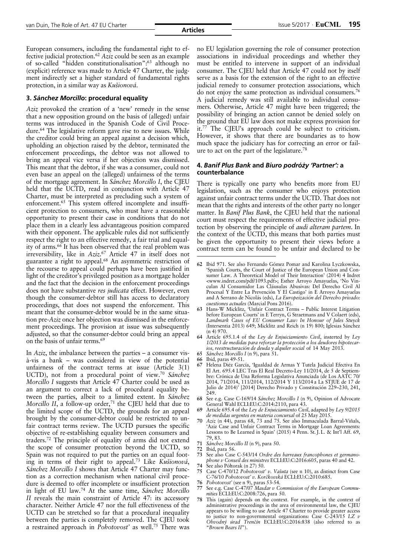**Articles**

European consumers, including the fundamental right to effective judicial protection.62 *Aziz* could be seen as an example of so-called "hidden constitutionalisation":63 although no (explicit) reference was made to Article 47 Charter, the judgment indirectly set a higher standard of fundamental rights protection, in a similar way as *Kušionová*.

#### **3.** *Sánchez Morcillo***: procedural equality**

*Aziz* provoked the creation of a 'new' remedy in the sense that a new opposition ground on the basis of (alleged) unfair terms was introduced in the Spanish Code of Civil Procedure.<sup>64</sup> The legislative reform gave rise to new issues. While the creditor could bring an appeal against a decision which, upholding an objection raised by the debtor, terminated the enforcement proceedings, the debtor was not allowed to bring an appeal vice versa if her objection was dismissed. This meant that the debtor, if she was a consumer, could not even base an appeal on the (alleged) unfairness of the terms of the mortgage agreement. In *Sánchez Morcillo I*, the CJEU held that the UCTD, read in conjunction with Article 47 Charter, must be interpreted as precluding such a system of enforcement.<sup>65</sup> This system offered incomplete and insufficient protection to consumers, who must have a reasonable opportunity to present their case in conditions that do not place them in a clearly less advantageous position compared with their opponent. The applicable rules did not sufficiently respect the right to an effective remedy, a fair trial and equality of arms.<sup>66</sup> It has been observed that the real problem was irreversibility, like in *Aziz*. <sup>67</sup> Article 47 in itself does not guarantee a right to appeal.<sup>68</sup> An asymmetric restriction of the recourse to appeal could perhaps have been justified in light of the creditor's privileged position as a mortgage holder and the fact that the decision in the enforcement proceedings does not have substantive *res judicata* effect. However, even though the consumer-debtor still has access to declaratory proceedings, that does not suspend the enforcement. This meant that the consumer-debtor would be in the same situation pre-*Aziz* once her objection was dismissed in the enforcement proceedings. The provision at issue was subsequently adjusted, so that the consumer-debtor could bring an appeal on the basis of unfair terms.69

In *Aziz*, the imbalance between the parties – a consumer visà-vis a bank – was considered in view of the potential unfairness of the contract terms at issue (Article 3(1) UCTD), not from a procedural point of view.70 *Sánchez Morcillo I* suggests that Article 47 Charter could be used as an argument to correct a lack of procedural equality between the parties, albeit to a limited extent. In *Sánchez Morcillo II*, a follow-up order,<sup>71</sup> the CJEU held that due to the limited scope of the UCTD, the grounds for an appeal brought by the consumer-debtor could be restricted to unfair contract terms review. The UCTD pursues the specific objective of re-establishing equality between consumers and traders.72 The principle of equality of arms did not extend the scope of consumer protection beyond the UCTD, so Spain was not required to put the parties on an equal footing in terms of their right to appeal.73 Like *Kušionová*, *Sánchez Morcillo I* shows that Article 47 Charter may function as a correction mechanism when national civil procedure is deemed to offer incomplete or insufficient protection in light of EU law.74 At the same time, *Sánchez Morcillo II* reveals the main constraint of Article 47: its accessory character. Neither Article 47 nor the full effectiveness of the UCTD can be stretched so far that a procedural inequality between the parties is completely removed. The CJEU took a restrained approach in *Pohotovost'* as well.75 There was

no EU legislation governing the role of consumer protection associations in individual proceedings and whether they must be entitled to intervene in support of an individual consumer. The CJEU held that Article 47 could not by itself serve as a basis for the extension of the right to an effective judicial remedy to consumer protection associations, which do not enjoy the same protection as individual consumers.76 A judicial remedy was still available to individual consumers. Otherwise, Article 47 might have been triggered; the possibility of bringing an action cannot be denied solely on the ground that EU law does not make express provision for it.77 The CJEU's approach could be subject to criticism. However, it shows that there are boundaries as to how much space the judiciary has for correcting an error or failure to act on the part of the legislature.78

#### **4.** *Banif Plus Bank* **and** *Biuro podróży 'Partner':* **a counterbalance**

There is typically one party who benefits more from EU legislation, such as the consumer who enjoys protection against unfair contract terms under the UCTD. That does not mean that the rights and interests of the other party no longer matter. In *Banif Plus Bank*, the CJEU held that the national court must respect the requirements of effective judicial protection by observing the principle of *audi alteram partem*. In the context of the UCTD, this means that both parties must be given the opportunity to present their views before a contract term can be found to be unfair and declared to be

- **64** Article 695.1.4 of the *Ley de Enjuiciamiento Civil*, insterted by *Ley 1/2013 de medidas para reforzar la protección a los deudores hipotecarios, reestructuración de deuda y alquiler social* of 14 May 2013.
- **65** *Sánchez Morcillo I* (n 9), para 51.
- **66** Ibid*,* paras 49-51.
- **67** Helena Diéz García, 'Igualdad de Armas Y Tutela Judicial Efectiva En El Art. 695.4 LEC Tras El Real Decreto-Ley 11/2014, de 5 de Septiembre: Crónica de Una Reforma Legislativa Anunciada (de Los AATC 70/ 2014, 71/2014, 111/2014, 112/2014 Y 113/2014 a La STJUE de 17 de Julio de 2014)' [2014] Derecho Privado y Constitución 229–230, 241,  $249.$
- **68** See e.g. Case C-169/14 *Sánchez Morcillo I* (n 9), Opinion of Advocate General Wahl ECLI:EU:C:2014:2110, para 43.
- **69** Article 695.4 of the *Ley de Enjuiciamiento Civil*, adapted by *Ley 9/2015 de medidas urgentes en materia concursal* of 25 May 2015.
- **70** *Aziz* (n 44), paras 68, 73 and 75. See also Immaculada Barral-Viñals, 'Aziz Case and Unfair Contract Terms in Mortgage Loan Agreements: Lessons to Be Learned in Spain' (2015) 4 Penn. St. J. L. & Int'l Aff. 69, 79, 83.
- **71** *Sánchez Morcillo II* (n 9), para 50.
- **72** Ibid, para 56.
- **73** See also Case C-543/14 *Ordre des barreaux francophones et germanophone v Conseil des ministres* ECLI:EU:C:2016:605, paras 40 and 42.
- **74** See also Półtorak (n 27) 50.
- **75** Case C-470/12 *Pohotovost' v. Vašuta* (see n 10), as distinct from Case C-76/10 *Pohotovost' v. Korčkovská* ECLI:EU:C:2010:685.
- **76** *Pohotovost'* (see n 9), paras 53-54.
- **77** See e.g. Case C-47/07 *Masdar v Commission of the European Communities* ECLI:EU:C:2008:726, para 50.
- This (again) depends on the context. For example, in the context of administrative proceedings in the area of environmental law, the CJEU appears to be willing to use Article 47 Charter to provide greater access to justice to non-governmental organizations: Case C-243/15 *LZ v Obvodný úrad Trenčín* ECLI:EU:C:2016:838 (also referred to as "*Brown Bears II*").

**<sup>62</sup>** Ibid 971. See also Fernando Gómez Pomar and Karolina Lyczkowska, 'Spanish Courts, the Court of Justice of the European Union and Consumer Law. A Theoretical Model of Their Interaction' (2014) 4 Indret <www.indret.com/pdf/1093.pdf>; Esther Arroyo Amayuelas, 'No Vinculan Al Consumidor Las Cláusulas Abusivas: Del Derecho Civil Al Procesal Y Entre La Prevención Y El Castigo' in E Arroyo Amayuelas and A Serrano de Nicolás (eds), *La Europeización del Derecho privado: cuestiones actuales* (Marcial Pons 2016).

**<sup>63</sup>** Hans-W Micklitz, 'Unfair Contract Terms – Public Interest Litigation before European Courts' in E Terryn, G Straetmans and V Colaert (eds), *Landmark Cases of EU Consumer Law: In Honour of Jules Stuyck* (Intersentia 2013) 649; Micklitz and Reich (n 19) 800; Iglesias Sánchez (n 4) 970.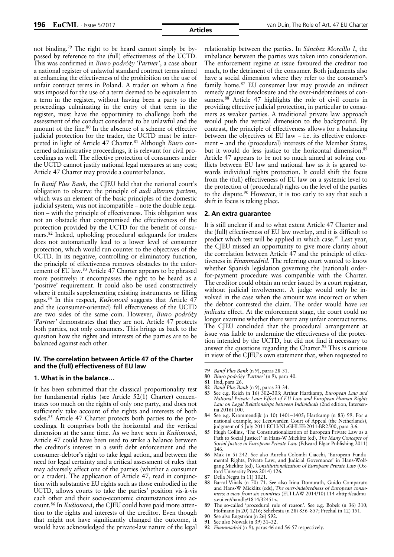not binding.79 The right to be heard cannot simply be bypassed by reference to the (full) effectiveness of the UCTD. This was confirmed in *Biuro podróży 'Partner'*, a case about a national register of unlawful standard contract terms aimed at enhancing the effectiveness of the prohibition on the use of unfair contract terms in Poland. A trader on whom a fine was imposed for the use of a term deemed to be equivalent to a term in the register, without having been a party to the proceedings culminating in the entry of that term in the register, must have the opportunity to challenge both the assessment of the conduct considered to be unlawful and the amount of the fine.<sup>80</sup> In the absence of a scheme of effective judicial protection for the trader, the UCTD must be interpreted in light of Article 47 Charter.<sup>81</sup> Although *Biuro* concerned administrative proceedings, it is relevant for civil proceedings as well. The effective protection of consumers under the UCTD cannot justify national legal measures at any cost; Article 47 Charter may provide a counterbalance.

In *Banif Plus Bank*, the CJEU held that the national court's obligation to observe the principle of *audi alteram partem*, which was an element of the basic principles of the domestic judicial system, was not incompatible – note the double negation – with the principle of effectiveness. This obligation was not an obstacle that compromised the effectiveness of the protection provided by the UCTD for the benefit of consumers.82 Indeed, upholding procedural safeguards for traders does not automatically lead to a lower level of consumer protection, which would run counter to the objectives of the UCTD. In its negative, controlling or eliminatory function, the principle of effectiveness removes obstacles to the enforcement of EU law.83 Article 47 Charter appears to be phrased more positively: it encompasses the right to be heard as a 'positive' requirement. It could also be used constructively where it entails supplementing existing instruments or filling gaps.84 In this respect, *Kušionová* suggests that Article 47 and the (consumer-oriented) full effectiveness of the UCTD are two sides of the same coin. However, *Biuro podróży 'Partner'* demonstrates that they are not. Article 47 protects both parties, not only consumers. This brings us back to the question how the rights and interests of the parties are to be balanced against each other.

#### **IV. The correlation between Article 47 of the Charter and the (full) effectiveness of EU law**

#### **1. What is in the balance…**

It has been submitted that the classical proportionality test for fundamental rights (see Article 52(1) Charter) concentrates too much on the rights of only one party, and does not sufficiently take account of the rights and interests of both sides.<sup>85</sup> Article 47 Charter protects both parties to the proceedings. It comprises both the horizontal and the vertical dimension at the same time. As we have seen in *Kušionová*, Article 47 could have been used to strike a balance between the creditor's interest in a swift debt enforcement and the consumer-debtor's right to take legal action, and between the need for legal certainty and a critical assessment of rules that may adversely affect one of the parties (whether a consumer or a trader). The application of Article 47, read in conjunction with substantive EU rights such as those embodied in the UCTD, allows courts to take the parties' position vis-à-vis each other and their socio-economic circumstances into account.86 In *Kušionová*, the CJEU could have paid more attention to the rights and interests of the creditor. Even though that might not have significantly changed the outcome, it would have acknowledged the private-law nature of the legal

relationship between the parties. In *Sánchez Morcillo I*, the imbalance between the parties was taken into consideration. The enforcement regime at issue favoured the creditor too much, to the detriment of the consumer. Both judgments also have a social dimension where they refer to the consumer's family home.87 EU consumer law may provide an indirect remedy against foreclosure and the over-indebtedness of consumers.<sup>88</sup> Article 47 highlights the role of civil courts in providing effective judicial protection, in particular to consumers as weaker parties. A traditional private law approach would push the vertical dimension to the background. By contrast, the principle of effectiveness allows for a balancing between the objectives of EU law – i.e. its effective enforcement – and the (procedural) interests of the Member States, but it would do less justice to the horizontal dimension.<sup>89</sup> Article 47 appears to be not so much aimed at solving conflicts between EU law and national law as it is geared towards individual rights protection. It could shift the focus from the (full) effectiveness of EU law on a systemic level to the protection of (procedural) rights on the level of the parties to the dispute.90 However, it is too early to say that such a shift in focus is taking place.

#### **2. An extra guarantee**

It is still unclear if and to what extent Article 47 Charter and the (full) effectiveness of EU law overlap, and it is difficult to predict which test will be applied in which case.<sup>91</sup> Last year, the CJEU missed an opportunity to give more clarity about the correlation between Article 47 and the principle of effectiveness in *Finanmadrid*. The referring court wanted to know whether Spanish legislation governing the (national) orderfor-payment procedure was compatible with the Charter. The creditor could obtain an order issued by a court registrar, without judicial involvement. A judge would only be involved in the case when the amount was incorrect or when the debtor contested the claim. The order would have *res judicata* effect. At the enforcement stage, the court could no longer examine whether there were any unfair contract terms. The CJEU concluded that the procedural arrangement at issue was liable to undermine the effectiveness of the protection intended by the UCTD, but did not find it necessary to answer the questions regarding the Charter.<sup>92</sup> This is curious in view of the CJEU's own statement that, when requested to

**80** *Biuro podróży 'Partner'* (n 9), para 40.

- **83** See e.g. Reich (n 16) 302–303; Arthur Hartkamp, *European Law and National Private Law: Effect of EU Law and European Human Rights Law on Legal Relationships between Individuals* (2nd edition, Intersentia 2016) 100.
- **84** See e.g. Krommendijk (n 10) 1401–1405; Hartkamp (n 83) 99. For a national example, see Leeuwarden Court of Appeal (the Netherlands), judgment of 5 July 2011 ECLI:NL:GHLEE:2011:BR2500, para 3.6.
- **85** Hugh Collins, 'The Constitutionalization of European Private Law as a Path to Social Justice?' in Hans-W Micklitz (ed), *The Many Concepts of Social Justice in European Private Law* (Edward Elgar Publishing 2011) 146.
- **86** Mak (n 5) 242. See also Aurelia Colombi Ciacchi, 'European Fundamental Rights, Private Law, and Judicial Governance' in Hans-Wolfgang Micklitz (ed), *Constitutionalization of European Private Law* (Oxford University Press 2014) 126.

- **88** Barral-Viñals (n 70) 71. See also Irina Domurath, Guido Comparato and Hans-W Micklitz (eds), *The over-indebtedness of European consumers: a view from six countries* (EUI LAW 2014/10) 114 <http://cadmus.eui.eu//handle/1814/32451>.
- **89** The so-called 'procedural rule of reason'. See e.g. Bobek (n 36) 310; Hofmann (n 20) 1216; Schebesta (n 28) 856–857; Prechal (n 12) 151.
- **90** See also Engström (n 26) 592.
- **91** See also Nowak (n 39) 31–32.
- **92** *Finanmadrid* (n 9), paras 46 and 56-57 respectively.

**<sup>79</sup>** *Banif Plus Bank* (n 9), paras 28-31.

**<sup>81</sup>** Ibid, para 26.

**<sup>82</sup>** *Banif Plus Bank* (n 9), paras 33-34.

<sup>87</sup> Della Negra (n 11) 1021.<br>88 Barral-Viñals (n 70) 71.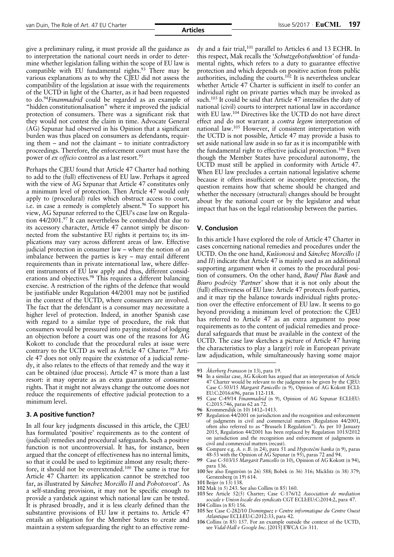give a preliminary ruling, it must provide all the guidance as to interpretation the national court needs in order to determine whether legislation falling within the scope of EU law is compatible with EU fundamental rights.<sup>93</sup> There may be various explanations as to why the CJEU did not assess the compatibility of the legislation at issue with the requirements of the UCTD in light of the Charter, as it had been requested to do.94*Finanmadrid* could be regarded as an example of "hidden constitutionalisation" where it improved the judicial protection of consumers. There was a significant risk that they would not contest the claim in time. Advocate General (AG) Szpunar had observed in his Opinion that a significant burden was thus placed on consumers as defendants, requiring them – and not the claimant – to initiate contradictory proceedings. Therefore, the enforcement court must have the power of *ex officio* control as a last resort.95

Perhaps the CJEU found that Article 47 Charter had nothing to add to the (full) effectiveness of EU law. Perhaps it agreed with the view of AG Szpunar that Article 47 constitutes only a minimum level of protection. Then Article 47 would only apply to (procedural) rules which obstruct access to court, i.e. in case a remedy is completely absent.<sup>96</sup> To support his view, AG Szpunar referred to the CJEU's case law on Regulation 44/2001.97 It can nevertheless be contended that due to its accessory character, Article 47 cannot simply be disconnected from the substantive EU rights it pertains to; its implications may vary across different areas of law. Effective judicial protection in consumer law – where the notion of an imbalance between the parties is key – may entail different requirements than in private international law, where different instruments of EU law apply and thus, different considerations and objectives.98 This requires a different balancing exercise. A restriction of the rights of the defence that would be justifiable under Regulation 44/2001 may not be justified in the context of the UCTD, where consumers are involved. The fact that the defendant is a consumer may necessitate a higher level of protection. Indeed, in another Spanish case with regard to a similar type of procedure, the risk that consumers would be pressured into paying instead of lodging an objection before a court was one of the reasons for AG Kokott to conclude that the procedural rules at issue were contrary to the UCTD as well as Article 47 Charter.<sup>99</sup> Article 47 does not only require the existence of a judicial remedy, it also relates to the effects of that remedy and the way it can be obtained (due process). Article 47 is more than a last resort: it may operate as an extra guarantee of consumer rights. That it might not always change the outcome does not reduce the requirements of effective judicial protection to a minimum level.

#### **3. A positive function?**

In all four key judgments discussed in this article, the CJEU has formulated 'positive' requirements as to the content of (judicial) remedies and procedural safeguards. Such a positive function is not uncontroversial. It has, for instance, been argued that the concept of effectiveness has no internal limits, so that it could be used to legitimize almost any result; therefore, it should not be overextended.100 The same is true for Article 47 Charter: its application cannot be stretched too far, as illustrated by *Sánchez Morcillo II* and *Pohotovost'*. As a self-standing provision, it may not be specific enough to provide a yardstick against which national law can be tested. It is phrased broadly, and it is less clearly defined than the substantive provisions of EU law it pertains to. Article 47 entails an obligation for the Member States to create and maintain a system safeguarding the right to an effective remedy and a fair trial,<sup>101</sup> parallel to Articles 6 and 13 ECHR. In this respect, Mak recalls the '*Schutzgebotsfunktion'* of fundamental rights, which refers to a duty to guarantee effective protection and which depends on positive action from public authorities, including the courts.<sup>102</sup> It is nevertheless unclear whether Article 47 Charter is sufficient in itself to confer an individual right on private parties which may be invoked as such.<sup>103</sup> It could be said that Article 47 intensifies the duty of national (civil) courts to interpret national law in accordance with EU law.<sup>104</sup> Directives like the UCTD do not have direct effect and do not warrant a *contra legem* interpretation of national law.105 However, if consistent interpretation with the UCTD is not possible, Article 47 may provide a basis to set aside national law aside in so far as it is incompatible with the fundamental right to effective judicial protection.106 Even though the Member States have procedural autonomy, the UCTD must still be applied in conformity with Article 47. When EU law precludes a certain national legislative scheme because it offers insufficient or incomplete protection, the question remains how that scheme should be changed and whether the necessary (structural) changes should be brought about by the national court or by the legislator and what impact that has on the legal relationship between the parties.

### **V. Conclusion**

In this article I have explored the role of Article 47 Charter in cases concerning national remedies and procedures under the UCTD. On the one hand, *Kušionová* and *Sánchez Morcillo* (*I* and *II*) indicate that Article 47 is mainly used as an additional supporting argument when it comes to the procedural position of consumers. On the other hand, *Banif Plus Bank* and *Biuro podróży 'Partner'* show that it is not only about the (full) effectiveness of EU law: Article 47 protects *both* parties, and it may tip the balance towards individual rights protection over the effective enforcement of EU law. It seems to go beyond providing a minimum level of protection: the CJEU has referred to Article 47 as an extra argument to pose requirements as to the content of judicial remedies and procedural safeguards that must be available in the context of the UCTD. The case law sketches a picture of Article 47 having the characteristics to play a large(r) role in European private law adjudication, while simultaneously having some major

- **105** See Case C-282/10 *Dominguez v Centre informatique du Centre Ouest Atlantique* ECLI:EU:C:2012:33, para 42.
- **106** Collins (n 85) 157. For an example outside the context of the UCTD, see *Vidal-Hall v Google Inc.* [2015] EWCA Civ 311.

**<sup>93</sup>** *Åkerberg Fransson* (n 13), para 19.

**<sup>94</sup>** In a similar case, AG Kokott has argued that an interpretation of Article 47 Charter would be relevant to the judgment to be given by the CJEU: Case C-503/15 *Margarit Panicello* (n 9), Opinion of AG Kokott ECLI: EU:C:2016:696, paras 112-118.

**<sup>95</sup>** Case C-49/14 *Finanmadrid* (n 9), Opinion of AG Szpunar ECLI:EU: C:2015:746, paras 62 an 72.

**<sup>96</sup>** Krommendijk (n 10) 1412–1413.

**<sup>97</sup>** Regulation 44/2001 on jurisdiction and the recognition and enforcement of judgments in civil and commercial matters (Regulation 44/2001, often also referred to as "Brussels I Regulation"). As per 10 January 2015, Regulation 44/2001 has been replaced by Regulation 1015/2012 on jurisdiction and the recognition and enforcement of judgments in civil and commercial matters (recast).

**<sup>98</sup>** Compare e.g. *A. v.B.* (n 24), para 51 and *Hypotečni banka* (n 9), paras 48-53 with the Opinion of AG Szpunar (n 95), paras 72 and 94.

**<sup>99</sup>** Case C-503/15 *Margarit Panicello* (n 10), Opinion of AG Kokott (n 94), para 136.

**<sup>100</sup>** See also Engström (n 26) 588; Bobek (n 36) 316; Micklitz (n 38) 379; Gerstenberg (n 19) 614.

**<sup>101</sup>** Beijer (n 13) 138.

**<sup>102</sup>** Mak (n 5) 243. See also Collins (n 85) 160.

**<sup>103</sup>** See Article 52(5) Charter; Case C-176/12 *Association de mediation sociale v Union locale des syndicats* CGT ECLI:EU:C:2014:2, para 47. **104** Collins (n 85) 156.